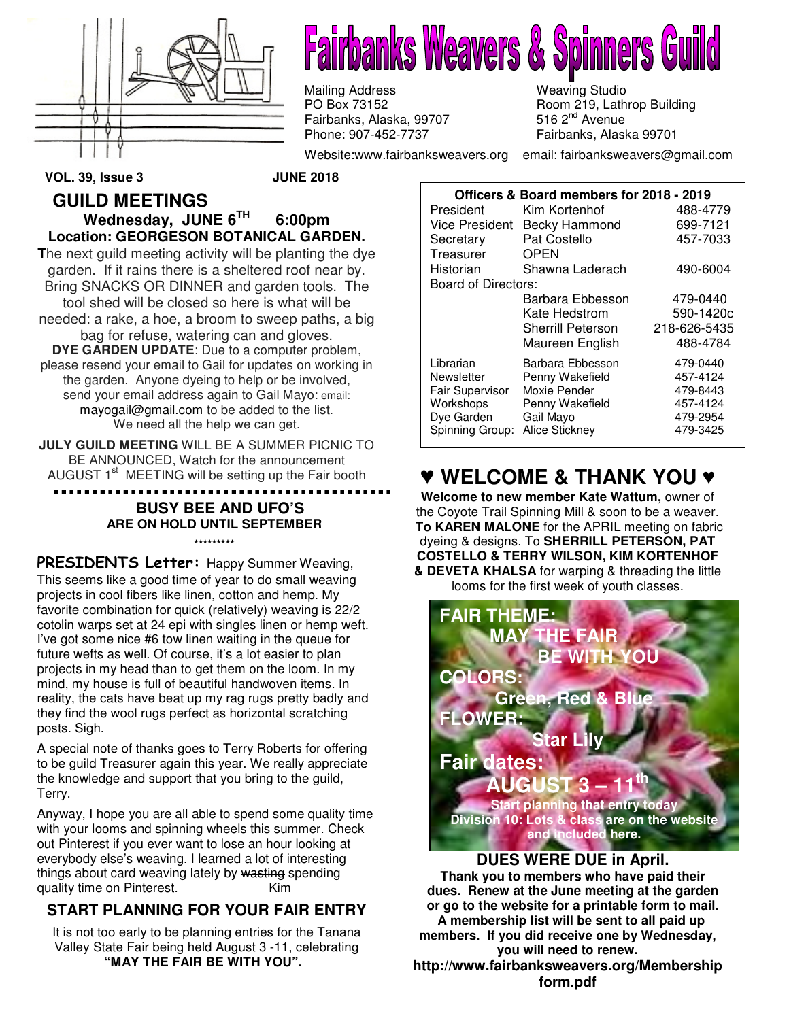

**Fairbanks Weavers & Spinners** 

Mailing Address **Mailing Address** Weaving Studio<br>
PO Box 73152 May 19, Lath Fairbanks, Alaska, 99707<br>Phone: 907-452-7737

Room 219, Lathrop Building<br>516 2<sup>nd</sup> Avenue Fairbanks, Alaska 99701

Website:www.fairbanksweavers.org email: fairbanksweavers@gmail.com

**VOL. 39, Issue 3 JUNE 2018** 

#### **GUILD MEETINGS Wednesday, JUNE 6TH 6:00pm Location: GEORGESON BOTANICAL GARDEN.**

**T**he next guild meeting activity will be planting the dye garden. If it rains there is a sheltered roof near by. Bring SNACKS OR DINNER and garden tools. The tool shed will be closed so here is what will be needed: a rake, a hoe, a broom to sweep paths, a big bag for refuse, watering can and gloves. **DYE GARDEN UPDATE**: Due to a computer problem, please resend your email to Gail for updates on working in the garden. Anyone dyeing to help or be involved, send your email address again to Gail Mayo: email: mayogail@gmail.com to be added to the list. We need all the help we can get.

**JULY GUILD MEETING** WILL BE A SUMMER PICNIC TO BE ANNOUNCED, Watch for the announcement AUGUST  $1<sup>st</sup>$  MEETING will be setting up the Fair booth

#### . . . . . . . . . . . . . . . . . . . . . . . . **BUSY BEE AND UFO'S ARE ON HOLD UNTIL SEPTEMBER**

**\*\*\*\*\*\*\*\*\***

PRESIDENTS Letter: Happy Summer Weaving, This seems like a good time of year to do small weaving projects in cool fibers like linen, cotton and hemp. My favorite combination for quick (relatively) weaving is 22/2 cotolin warps set at 24 epi with singles linen or hemp weft. I've got some nice #6 tow linen waiting in the queue for future wefts as well. Of course, it's a lot easier to plan projects in my head than to get them on the loom. In my mind, my house is full of beautiful handwoven items. In reality, the cats have beat up my rag rugs pretty badly and they find the wool rugs perfect as horizontal scratching posts. Sigh.

A special note of thanks goes to Terry Roberts for offering to be guild Treasurer again this year. We really appreciate the knowledge and support that you bring to the guild, Terry.

Anyway, I hope you are all able to spend some quality time with your looms and spinning wheels this summer. Check out Pinterest if you ever want to lose an hour looking at everybody else's weaving. I learned a lot of interesting things about card weaving lately by wasting spending quality time on Pinterest. The Kim

# **START PLANNING FOR YOUR FAIR ENTRY**

It is not too early to be planning entries for the Tanana Valley State Fair being held August 3 -11, celebrating **"MAY THE FAIR BE WITH YOU".** 

| Officers & Board members for 2018 - 2019 |                          |              |
|------------------------------------------|--------------------------|--------------|
| President                                | Kim Kortenhof            | 488-4779     |
| Vice President                           | Becky Hammond            | 699-7121     |
| Secretary                                | Pat Costello             | 457-7033     |
| Treasurer                                | <b>OPEN</b>              |              |
| Historian                                | Shawna Laderach          | 490-6004     |
| Board of Directors:                      |                          |              |
|                                          | Barbara Ebbesson         | 479-0440     |
|                                          | Kate Hedstrom            | 590-1420c    |
|                                          | <b>Sherrill Peterson</b> | 218-626-5435 |
|                                          | Maureen English          | 488-4784     |
| Librarian                                | Barbara Ebbesson         | 479-0440     |
| Newsletter                               | Penny Wakefield          | 457-4124     |
| <b>Fair Supervisor</b>                   | Moxie Pender             | 479-8443     |
| Workshops                                | Penny Wakefield          | 457-4124     |
| Dye Garden                               | Gail Mayo                | 479-2954     |
| Spinning Group:                          | <b>Alice Stickney</b>    | 479-3425     |

# ♥ **WELCOME & THANK YOU** ♥

**Welcome to new member Kate Wattum,** owner of the Coyote Trail Spinning Mill & soon to be a weaver.  **To KAREN MALONE** for the APRIL meeting on fabric dyeing & designs. To **SHERRILL PETERSON, PAT COSTELLO & TERRY WILSON, KIM KORTENHOF & DEVETA KHALSA** for warping & threading the little looms for the first week of youth classes.



**Thank you to members who have paid their dues. Renew at the June meeting at the garden or go to the website for a printable form to mail. A membership list will be sent to all paid up members. If you did receive one by Wednesday, you will need to renew.**

**http://www.fairbanksweavers.org/Membership form.pdf**